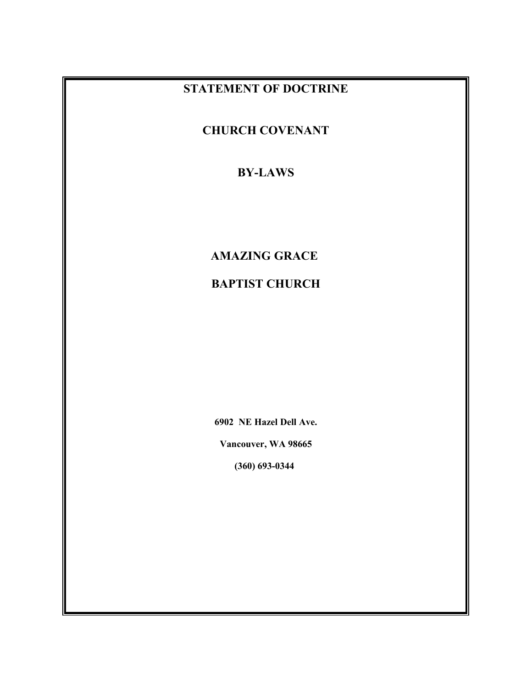## **STATEMENT OF DOCTRINE**

**CHURCH COVENANT**

## **BY-LAWS**

## **AMAZING GRACE**

## **BAPTIST CHURCH**

**6902 NE Hazel Dell Ave.**

**Vancouver, WA 98665**

**(360) 693-0344**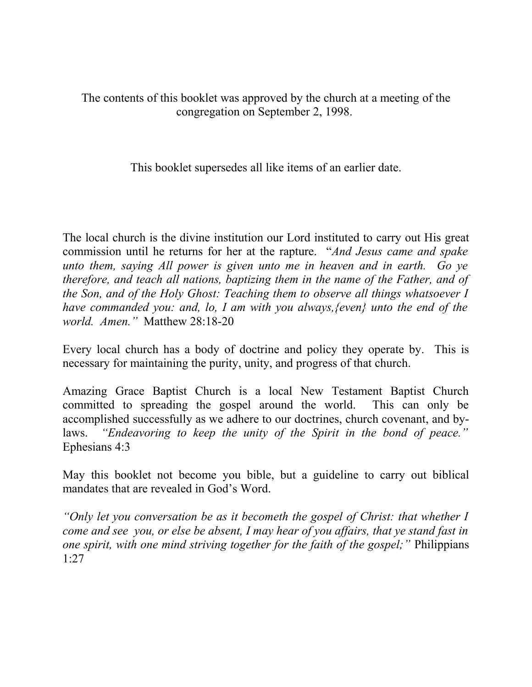The contents of this booklet was approved by the church at a meeting of the congregation on September 2, 1998.

This booklet supersedes all like items of an earlier date.

The local church is the divine institution our Lord instituted to carry out His great commission until he returns for her at the rapture. "*And Jesus came and spake unto them, saying All power is given unto me in heaven and in earth. Go ye therefore, and teach all nations, baptizing them in the name of the Father, and of the Son, and of the Holy Ghost: Teaching them to observe all things whatsoever I have commanded you: and, lo, I am with you always,{even} unto the end of the world. Amen."* Matthew 28:18-20

Every local church has a body of doctrine and policy they operate by. This is necessary for maintaining the purity, unity, and progress of that church.

Amazing Grace Baptist Church is a local New Testament Baptist Church committed to spreading the gospel around the world. This can only be accomplished successfully as we adhere to our doctrines, church covenant, and bylaws. *"Endeavoring to keep the unity of the Spirit in the bond of peace."* Ephesians 4:3

May this booklet not become you bible, but a guideline to carry out biblical mandates that are revealed in God's Word.

*"Only let you conversation be as it becometh the gospel of Christ: that whether I come and see you, or else be absent, I may hear of you affairs, that ye stand fast in one spirit, with one mind striving together for the faith of the gospel;"* Philippians 1:27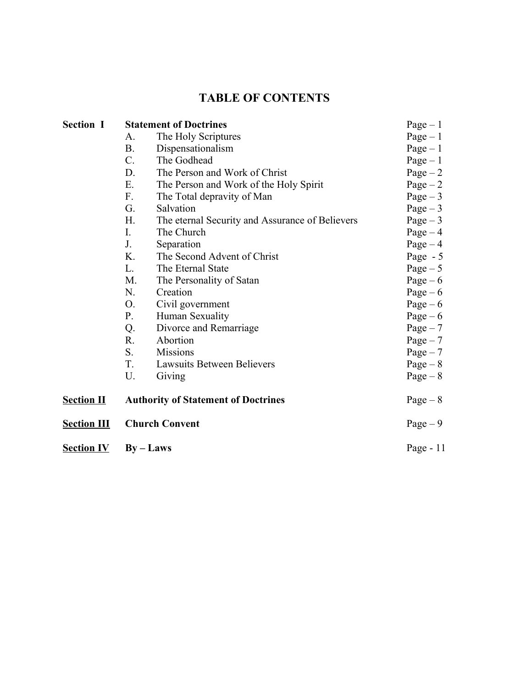## **TABLE OF CONTENTS**

| <b>Section I</b>   | <b>Statement of Doctrines</b>              |                                                 | $Page-1$    |
|--------------------|--------------------------------------------|-------------------------------------------------|-------------|
|                    | А.                                         | The Holy Scriptures                             | $Page-1$    |
|                    | <b>B.</b>                                  | Dispensationalism                               | $Page - 1$  |
|                    | $C$ .                                      | The Godhead                                     | $Page-1$    |
|                    | D.                                         | The Person and Work of Christ                   | Page $-2$   |
|                    | Ε.                                         | The Person and Work of the Holy Spirit          | $Page - 2$  |
|                    | F.                                         | The Total depravity of Man                      | $Page-3$    |
|                    | G.                                         | Salvation                                       | Page $-3$   |
|                    | H.                                         | The eternal Security and Assurance of Believers | Page $-3$   |
|                    | $I_{\cdot}$                                | The Church                                      | Page $-4$   |
|                    | J.                                         | Separation                                      | Page $-4$   |
|                    | K.                                         | The Second Advent of Christ                     | Page $-5$   |
|                    | L.                                         | The Eternal State                               | Page $-5$   |
|                    | M.                                         | The Personality of Satan                        | Page $-6$   |
|                    | N.                                         | Creation                                        | Page $-6$   |
|                    | O <sub>1</sub>                             | Civil government                                | Page $-6$   |
|                    | $P_{\cdot}$                                | Human Sexuality                                 | Page $-6$   |
|                    | Q.                                         | Divorce and Remarriage                          | $Page-7$    |
|                    | R.                                         | Abortion                                        | $Page-7$    |
|                    | S.                                         | <b>Missions</b>                                 | $Page-7$    |
|                    | T.                                         | <b>Lawsuits Between Believers</b>               | Page $-8$   |
|                    | U.                                         | Giving                                          | Page $-8$   |
| <b>Section II</b>  | <b>Authority of Statement of Doctrines</b> |                                                 | Page $-8$   |
| <b>Section III</b> | <b>Church Convent</b>                      |                                                 | Page $-9$   |
| <b>Section IV</b>  | $By - Laws$                                |                                                 | Page - $11$ |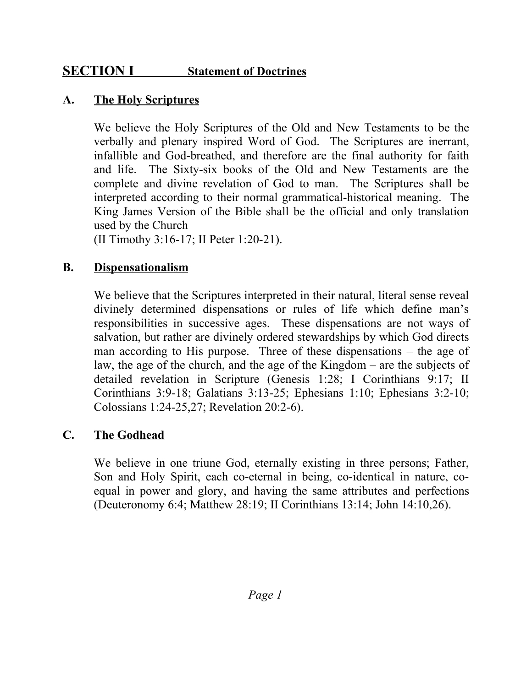## **SECTION I Statement of Doctrines**

## **A. The Holy Scriptures**

We believe the Holy Scriptures of the Old and New Testaments to be the verbally and plenary inspired Word of God. The Scriptures are inerrant, infallible and God-breathed, and therefore are the final authority for faith and life. The Sixty-six books of the Old and New Testaments are the complete and divine revelation of God to man. The Scriptures shall be interpreted according to their normal grammatical-historical meaning. The King James Version of the Bible shall be the official and only translation used by the Church

(II Timothy 3:16-17; II Peter 1:20-21).

#### **B. Dispensationalism**

We believe that the Scriptures interpreted in their natural, literal sense reveal divinely determined dispensations or rules of life which define man's responsibilities in successive ages. These dispensations are not ways of salvation, but rather are divinely ordered stewardships by which God directs man according to His purpose. Three of these dispensations – the age of law, the age of the church, and the age of the Kingdom – are the subjects of detailed revelation in Scripture (Genesis 1:28; I Corinthians 9:17; II Corinthians 3:9-18; Galatians 3:13-25; Ephesians 1:10; Ephesians 3:2-10; Colossians 1:24-25,27; Revelation 20:2-6).

## **C. The Godhead**

We believe in one triune God, eternally existing in three persons; Father, Son and Holy Spirit, each co-eternal in being, co-identical in nature, coequal in power and glory, and having the same attributes and perfections (Deuteronomy 6:4; Matthew 28:19; II Corinthians 13:14; John 14:10,26).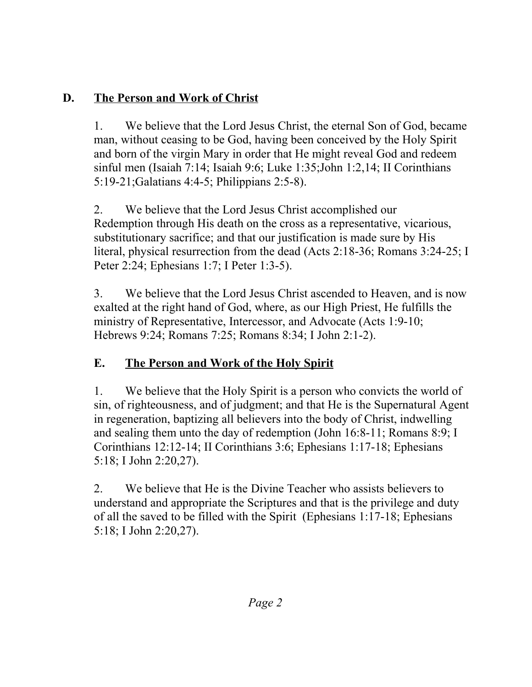# **D. The Person and Work of Christ**

1. We believe that the Lord Jesus Christ, the eternal Son of God, became man, without ceasing to be God, having been conceived by the Holy Spirit and born of the virgin Mary in order that He might reveal God and redeem sinful men (Isaiah 7:14; Isaiah 9:6; Luke 1:35;John 1:2,14; II Corinthians 5:19-21;Galatians 4:4-5; Philippians 2:5-8).

2. We believe that the Lord Jesus Christ accomplished our Redemption through His death on the cross as a representative, vicarious, substitutionary sacrifice; and that our justification is made sure by His literal, physical resurrection from the dead (Acts 2:18-36; Romans 3:24-25; I Peter 2:24; Ephesians 1:7; I Peter 1:3-5).

3. We believe that the Lord Jesus Christ ascended to Heaven, and is now exalted at the right hand of God, where, as our High Priest, He fulfills the ministry of Representative, Intercessor, and Advocate (Acts 1:9-10; Hebrews 9:24; Romans 7:25; Romans 8:34; I John 2:1-2).

# **E. The Person and Work of the Holy Spirit**

1. We believe that the Holy Spirit is a person who convicts the world of sin, of righteousness, and of judgment; and that He is the Supernatural Agent in regeneration, baptizing all believers into the body of Christ, indwelling and sealing them unto the day of redemption (John 16:8-11; Romans 8:9; I Corinthians 12:12-14; II Corinthians 3:6; Ephesians 1:17-18; Ephesians 5:18; I John 2:20,27).

2. We believe that He is the Divine Teacher who assists believers to understand and appropriate the Scriptures and that is the privilege and duty of all the saved to be filled with the Spirit (Ephesians 1:17-18; Ephesians 5:18; I John 2:20,27).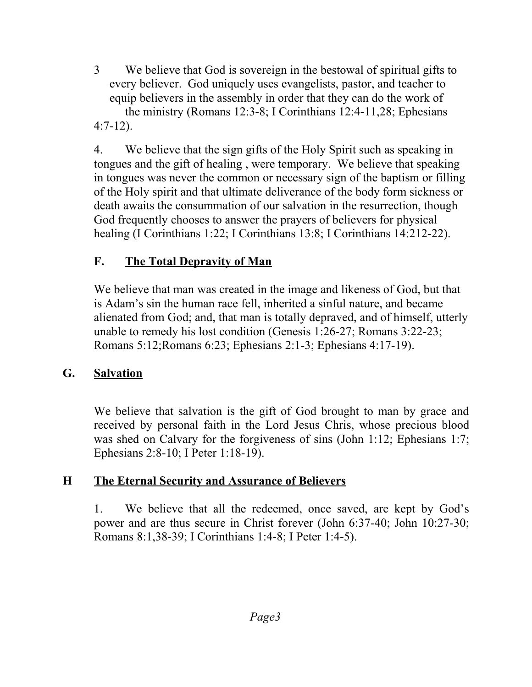3 We believe that God is sovereign in the bestowal of spiritual gifts to every believer. God uniquely uses evangelists, pastor, and teacher to equip believers in the assembly in order that they can do the work of the ministry (Romans 12:3-8; I Corinthians 12:4-11,28; Ephesians 4:7-12).

4. We believe that the sign gifts of the Holy Spirit such as speaking in tongues and the gift of healing , were temporary. We believe that speaking in tongues was never the common or necessary sign of the baptism or filling of the Holy spirit and that ultimate deliverance of the body form sickness or death awaits the consummation of our salvation in the resurrection, though God frequently chooses to answer the prayers of believers for physical healing (I Corinthians 1:22; I Corinthians 13:8; I Corinthians 14:212-22).

# **F. The Total Depravity of Man**

We believe that man was created in the image and likeness of God, but that is Adam's sin the human race fell, inherited a sinful nature, and became alienated from God; and, that man is totally depraved, and of himself, utterly unable to remedy his lost condition (Genesis 1:26-27; Romans 3:22-23; Romans 5:12;Romans 6:23; Ephesians 2:1-3; Ephesians 4:17-19).

# **G. Salvation**

We believe that salvation is the gift of God brought to man by grace and received by personal faith in the Lord Jesus Chris, whose precious blood was shed on Calvary for the forgiveness of sins (John 1:12; Ephesians 1:7; Ephesians 2:8-10; I Peter 1:18-19).

# **H The Eternal Security and Assurance of Believers**

1. We believe that all the redeemed, once saved, are kept by God's power and are thus secure in Christ forever (John 6:37-40; John 10:27-30; Romans 8:1,38-39; I Corinthians 1:4-8; I Peter 1:4-5).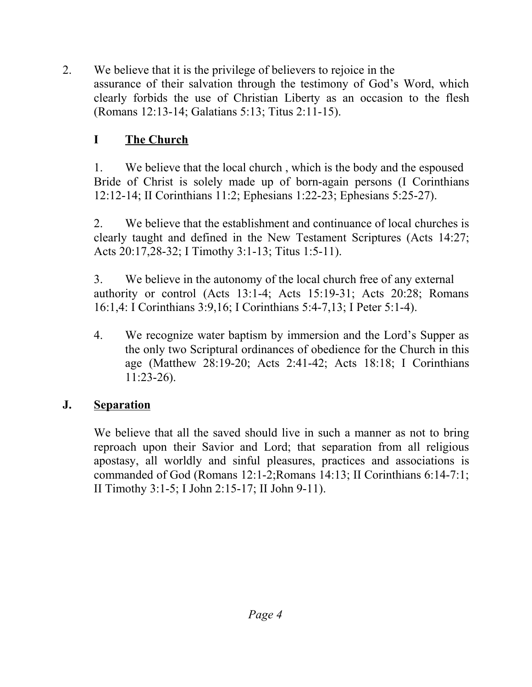2. We believe that it is the privilege of believers to rejoice in the assurance of their salvation through the testimony of God's Word, which clearly forbids the use of Christian Liberty as an occasion to the flesh (Romans 12:13-14; Galatians 5:13; Titus 2:11-15).

# **I The Church**

1. We believe that the local church , which is the body and the espoused Bride of Christ is solely made up of born-again persons (I Corinthians 12:12-14; II Corinthians 11:2; Ephesians 1:22-23; Ephesians 5:25-27).

2. We believe that the establishment and continuance of local churches is clearly taught and defined in the New Testament Scriptures (Acts 14:27; Acts 20:17,28-32; I Timothy 3:1-13; Titus 1:5-11).

3. We believe in the autonomy of the local church free of any external authority or control (Acts 13:1-4; Acts 15:19-31; Acts 20:28; Romans 16:1,4: I Corinthians 3:9,16; I Corinthians 5:4-7,13; I Peter 5:1-4).

4. We recognize water baptism by immersion and the Lord's Supper as the only two Scriptural ordinances of obedience for the Church in this age (Matthew 28:19-20; Acts 2:41-42; Acts 18:18; I Corinthians 11:23-26).

## **J. Separation**

We believe that all the saved should live in such a manner as not to bring reproach upon their Savior and Lord; that separation from all religious apostasy, all worldly and sinful pleasures, practices and associations is commanded of God (Romans 12:1-2;Romans 14:13; II Corinthians 6:14-7:1; II Timothy 3:1-5; I John 2:15-17; II John 9-11).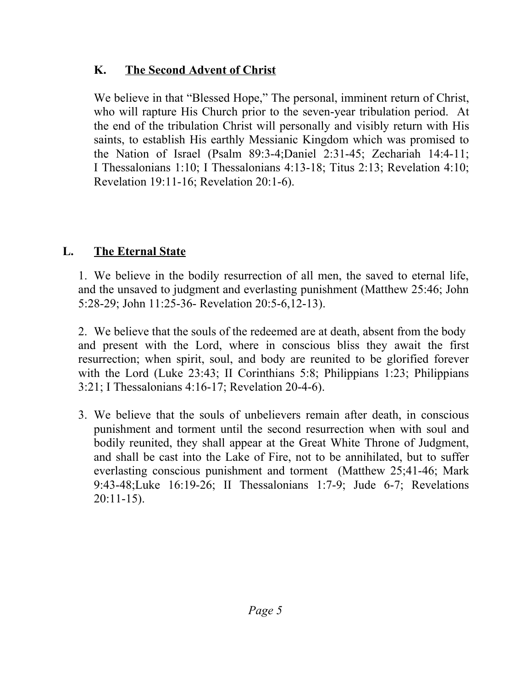## **K. The Second Advent of Christ**

We believe in that "Blessed Hope," The personal, imminent return of Christ, who will rapture His Church prior to the seven-year tribulation period. At the end of the tribulation Christ will personally and visibly return with His saints, to establish His earthly Messianic Kingdom which was promised to the Nation of Israel (Psalm 89:3-4;Daniel 2:31-45; Zechariah 14:4-11; I Thessalonians 1:10; I Thessalonians 4:13-18; Titus 2:13; Revelation 4:10; Revelation 19:11-16; Revelation 20:1-6).

# **L. The Eternal State**

1. We believe in the bodily resurrection of all men, the saved to eternal life, and the unsaved to judgment and everlasting punishment (Matthew 25:46; John 5:28-29; John 11:25-36- Revelation 20:5-6,12-13).

2. We believe that the souls of the redeemed are at death, absent from the body and present with the Lord, where in conscious bliss they await the first resurrection; when spirit, soul, and body are reunited to be glorified forever with the Lord (Luke 23:43; II Corinthians 5:8; Philippians 1:23; Philippians 3:21; I Thessalonians 4:16-17; Revelation 20-4-6).

3. We believe that the souls of unbelievers remain after death, in conscious punishment and torment until the second resurrection when with soul and bodily reunited, they shall appear at the Great White Throne of Judgment, and shall be cast into the Lake of Fire, not to be annihilated, but to suffer everlasting conscious punishment and torment (Matthew 25;41-46; Mark 9:43-48;Luke 16:19-26; II Thessalonians 1:7-9; Jude 6-7; Revelations 20:11-15).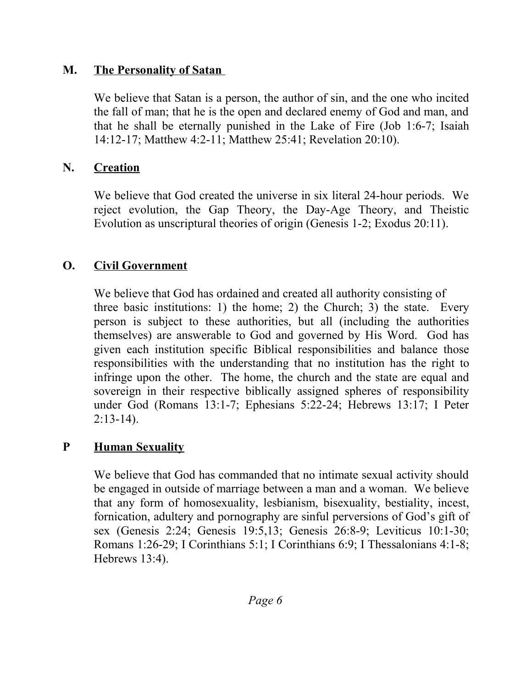#### **M. The Personality of Satan**

We believe that Satan is a person, the author of sin, and the one who incited the fall of man; that he is the open and declared enemy of God and man, and that he shall be eternally punished in the Lake of Fire (Job 1:6-7; Isaiah 14:12-17; Matthew 4:2-11; Matthew 25:41; Revelation 20:10).

#### **N. Creation**

We believe that God created the universe in six literal 24-hour periods. We reject evolution, the Gap Theory, the Day-Age Theory, and Theistic Evolution as unscriptural theories of origin (Genesis 1-2; Exodus 20:11).

## **O. Civil Government**

We believe that God has ordained and created all authority consisting of three basic institutions: 1) the home; 2) the Church; 3) the state. Every person is subject to these authorities, but all (including the authorities themselves) are answerable to God and governed by His Word. God has given each institution specific Biblical responsibilities and balance those responsibilities with the understanding that no institution has the right to infringe upon the other. The home, the church and the state are equal and sovereign in their respective biblically assigned spheres of responsibility under God (Romans 13:1-7; Ephesians 5:22-24; Hebrews 13:17; I Peter 2:13-14).

#### **P Human Sexuality**

We believe that God has commanded that no intimate sexual activity should be engaged in outside of marriage between a man and a woman. We believe that any form of homosexuality, lesbianism, bisexuality, bestiality, incest, fornication, adultery and pornography are sinful perversions of God's gift of sex (Genesis 2:24; Genesis 19:5,13; Genesis 26:8-9; Leviticus 10:1-30; Romans 1:26-29; I Corinthians 5:1; I Corinthians 6:9; I Thessalonians 4:1-8; Hebrews 13:4).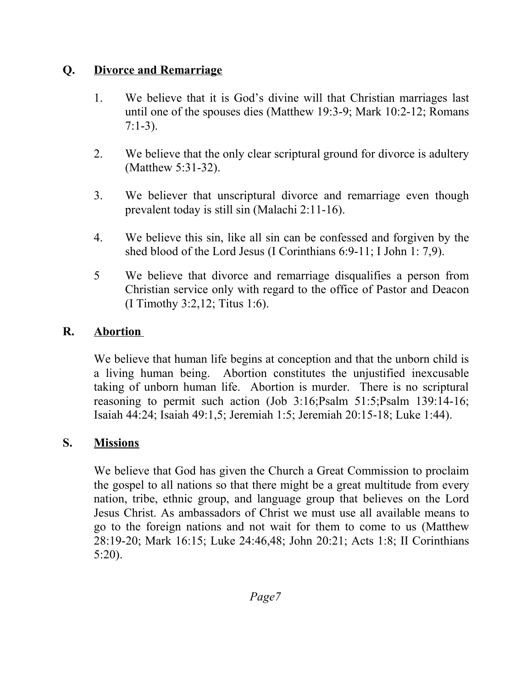## **Q. Divorce and Remarriage**

- 1. We believe that it is God's divine will that Christian marriages last until one of the spouses dies (Matthew 19:3-9; Mark 10:2-12; Romans  $7:1-3$ ).
- 2. We believe that the only clear scriptural ground for divorce is adultery (Matthew 5:31-32).
- 3. We believer that unscriptural divorce and remarriage even though prevalent today is still sin (Malachi 2:11-16).
- 4. We believe this sin, like all sin can be confessed and forgiven by the shed blood of the Lord Jesus (I Corinthians 6:9-11; I John 1: 7,9).
- 5 We believe that divorce and remarriage disqualifies a person from Christian service only with regard to the office of Pastor and Deacon (I Timothy 3:2,12; Titus 1:6).

# **R. Abortion**

We believe that human life begins at conception and that the unborn child is a living human being. Abortion constitutes the unjustified inexcusable taking of unborn human life. Abortion is murder. There is no scriptural reasoning to permit such action (Job 3:16;Psalm 51:5;Psalm 139:14-16; Isaiah 44:24; Isaiah 49:1,5; Jeremiah 1:5; Jeremiah 20:15-18; Luke 1:44).

## **S. Missions**

We believe that God has given the Church a Great Commission to proclaim the gospel to all nations so that there might be a great multitude from every nation, tribe, ethnic group, and language group that believes on the Lord Jesus Christ. As ambassadors of Christ we must use all available means to go to the foreign nations and not wait for them to come to us (Matthew 28:19-20; Mark 16:15; Luke 24:46,48; John 20:21; Acts 1:8; II Corinthians 5:20).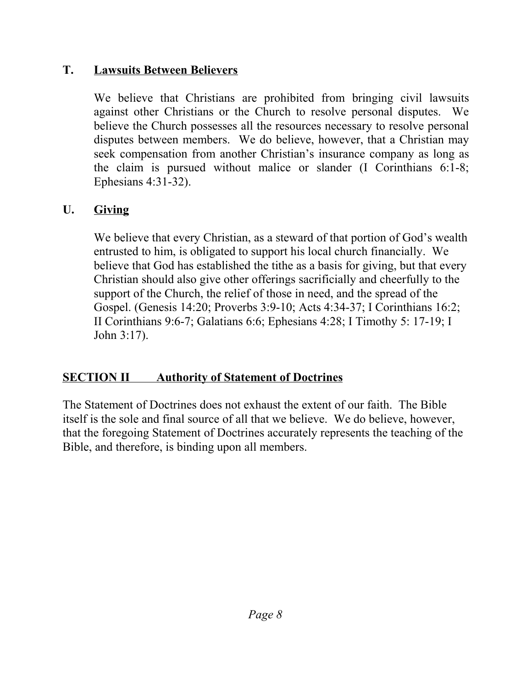## **T. Lawsuits Between Believers**

We believe that Christians are prohibited from bringing civil lawsuits against other Christians or the Church to resolve personal disputes. We believe the Church possesses all the resources necessary to resolve personal disputes between members. We do believe, however, that a Christian may seek compensation from another Christian's insurance company as long as the claim is pursued without malice or slander (I Corinthians 6:1-8; Ephesians 4:31-32).

# **U. Giving**

We believe that every Christian, as a steward of that portion of God's wealth entrusted to him, is obligated to support his local church financially. We believe that God has established the tithe as a basis for giving, but that every Christian should also give other offerings sacrificially and cheerfully to the support of the Church, the relief of those in need, and the spread of the Gospel. (Genesis 14:20; Proverbs 3:9-10; Acts 4:34-37; I Corinthians 16:2; II Corinthians 9:6-7; Galatians 6:6; Ephesians 4:28; I Timothy 5: 17-19; I John 3:17).

# **SECTION II** Authority of Statement of Doctrines

The Statement of Doctrines does not exhaust the extent of our faith. The Bible itself is the sole and final source of all that we believe. We do believe, however, that the foregoing Statement of Doctrines accurately represents the teaching of the Bible, and therefore, is binding upon all members.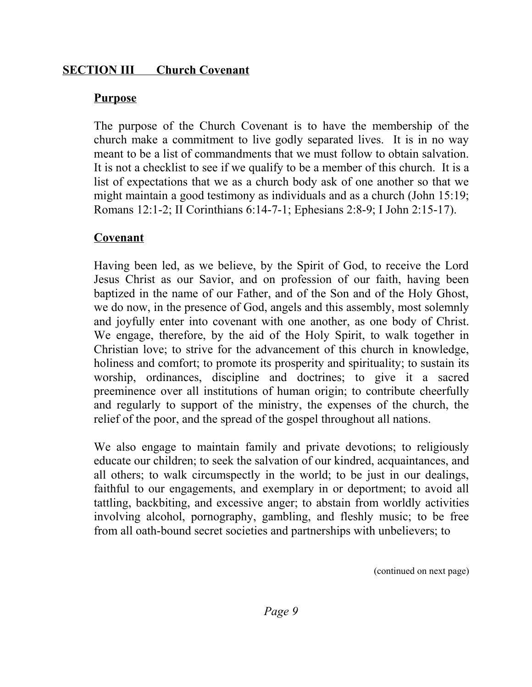#### **SECTION III Church Covenant**

#### **Purpose**

The purpose of the Church Covenant is to have the membership of the church make a commitment to live godly separated lives. It is in no way meant to be a list of commandments that we must follow to obtain salvation. It is not a checklist to see if we qualify to be a member of this church. It is a list of expectations that we as a church body ask of one another so that we might maintain a good testimony as individuals and as a church (John 15:19; Romans 12:1-2; II Corinthians 6:14-7-1; Ephesians 2:8-9; I John 2:15-17).

## **Covenant**

Having been led, as we believe, by the Spirit of God, to receive the Lord Jesus Christ as our Savior, and on profession of our faith, having been baptized in the name of our Father, and of the Son and of the Holy Ghost, we do now, in the presence of God, angels and this assembly, most solemnly and joyfully enter into covenant with one another, as one body of Christ. We engage, therefore, by the aid of the Holy Spirit, to walk together in Christian love; to strive for the advancement of this church in knowledge, holiness and comfort; to promote its prosperity and spirituality; to sustain its worship, ordinances, discipline and doctrines; to give it a sacred preeminence over all institutions of human origin; to contribute cheerfully and regularly to support of the ministry, the expenses of the church, the relief of the poor, and the spread of the gospel throughout all nations.

We also engage to maintain family and private devotions; to religiously educate our children; to seek the salvation of our kindred, acquaintances, and all others; to walk circumspectly in the world; to be just in our dealings, faithful to our engagements, and exemplary in or deportment; to avoid all tattling, backbiting, and excessive anger; to abstain from worldly activities involving alcohol, pornography, gambling, and fleshly music; to be free from all oath-bound secret societies and partnerships with unbelievers; to

(continued on next page)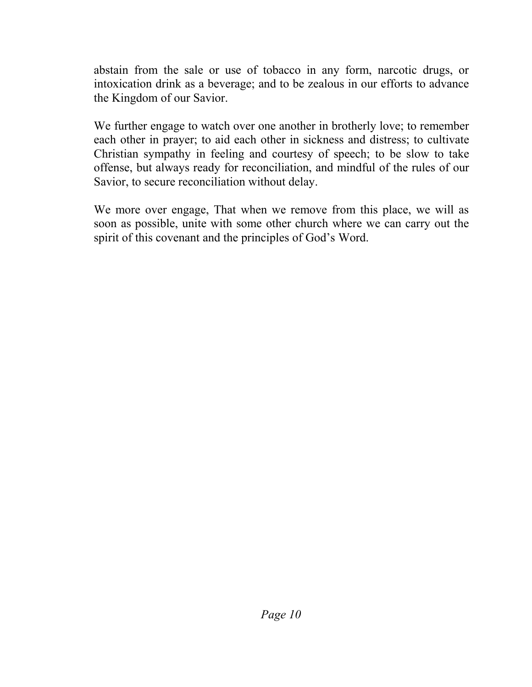abstain from the sale or use of tobacco in any form, narcotic drugs, or intoxication drink as a beverage; and to be zealous in our efforts to advance the Kingdom of our Savior.

We further engage to watch over one another in brotherly love; to remember each other in prayer; to aid each other in sickness and distress; to cultivate Christian sympathy in feeling and courtesy of speech; to be slow to take offense, but always ready for reconciliation, and mindful of the rules of our Savior, to secure reconciliation without delay.

We more over engage, That when we remove from this place, we will as soon as possible, unite with some other church where we can carry out the spirit of this covenant and the principles of God's Word.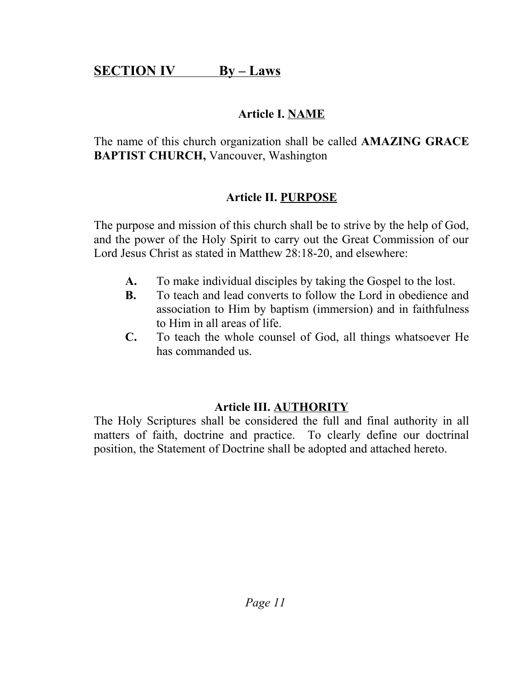# **SECTION IV** By – Laws

# **Article I. NAME**

The name of this church organization shall be called **AMAZING GRACE BAPTIST CHURCH,** Vancouver, Washington

## **Article II. PURPOSE**

The purpose and mission of this church shall be to strive by the help of God, and the power of the Holy Spirit to carry out the Great Commission of our Lord Jesus Christ as stated in Matthew 28:18-20, and elsewhere:

- **A.** To make individual disciples by taking the Gospel to the lost.
- **B.** To teach and lead converts to follow the Lord in obedience and association to Him by baptism (immersion) and in faithfulness to Him in all areas of life.
- **C.** To teach the whole counsel of God, all things whatsoever He has commanded us.

## **Article III. AUTHORITY**

The Holy Scriptures shall be considered the full and final authority in all matters of faith, doctrine and practice. To clearly define our doctrinal position, the Statement of Doctrine shall be adopted and attached hereto.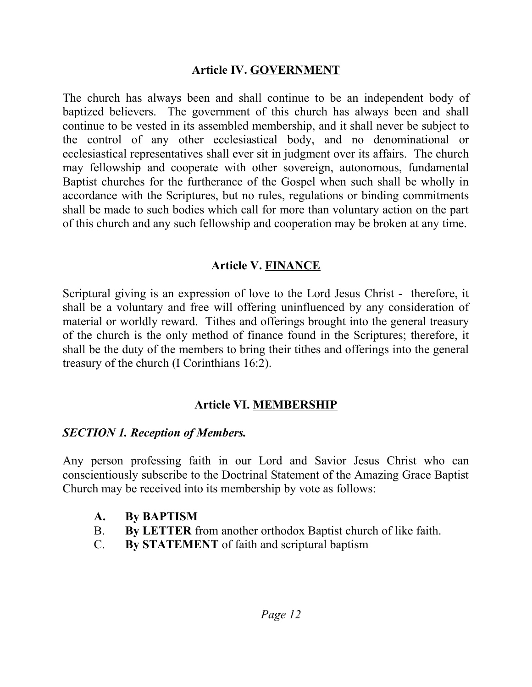#### **Article IV. GOVERNMENT**

The church has always been and shall continue to be an independent body of baptized believers. The government of this church has always been and shall continue to be vested in its assembled membership, and it shall never be subject to the control of any other ecclesiastical body, and no denominational or ecclesiastical representatives shall ever sit in judgment over its affairs. The church may fellowship and cooperate with other sovereign, autonomous, fundamental Baptist churches for the furtherance of the Gospel when such shall be wholly in accordance with the Scriptures, but no rules, regulations or binding commitments shall be made to such bodies which call for more than voluntary action on the part of this church and any such fellowship and cooperation may be broken at any time.

#### **Article V. FINANCE**

Scriptural giving is an expression of love to the Lord Jesus Christ - therefore, it shall be a voluntary and free will offering uninfluenced by any consideration of material or worldly reward. Tithes and offerings brought into the general treasury of the church is the only method of finance found in the Scriptures; therefore, it shall be the duty of the members to bring their tithes and offerings into the general treasury of the church (I Corinthians 16:2).

## **Article VI. MEMBERSHIP**

## *SECTION 1. Reception of Members.*

Any person professing faith in our Lord and Savior Jesus Christ who can conscientiously subscribe to the Doctrinal Statement of the Amazing Grace Baptist Church may be received into its membership by vote as follows:

- **A. By BAPTISM**
- B. **By LETTER** from another orthodox Baptist church of like faith.
- C. **By STATEMENT** of faith and scriptural baptism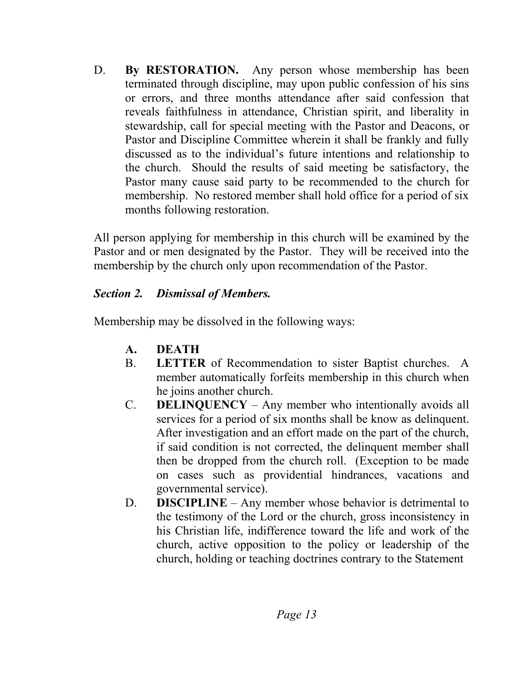D. **By RESTORATION.** Any person whose membership has been terminated through discipline, may upon public confession of his sins or errors, and three months attendance after said confession that reveals faithfulness in attendance, Christian spirit, and liberality in stewardship, call for special meeting with the Pastor and Deacons, or Pastor and Discipline Committee wherein it shall be frankly and fully discussed as to the individual's future intentions and relationship to the church. Should the results of said meeting be satisfactory, the Pastor many cause said party to be recommended to the church for membership. No restored member shall hold office for a period of six months following restoration.

All person applying for membership in this church will be examined by the Pastor and or men designated by the Pastor. They will be received into the membership by the church only upon recommendation of the Pastor.

#### *Section 2. Dismissal of Members.*

Membership may be dissolved in the following ways:

- **A. DEATH**
- B. **LETTER** of Recommendation to sister Baptist churches. A member automatically forfeits membership in this church when he joins another church.
- C. **DELINQUENCY** Any member who intentionally avoids all services for a period of six months shall be know as delinquent. After investigation and an effort made on the part of the church, if said condition is not corrected, the delinquent member shall then be dropped from the church roll. (Exception to be made on cases such as providential hindrances, vacations and governmental service).
- D. **DISCIPLINE** Any member whose behavior is detrimental to the testimony of the Lord or the church, gross inconsistency in his Christian life, indifference toward the life and work of the church, active opposition to the policy or leadership of the church, holding or teaching doctrines contrary to the Statement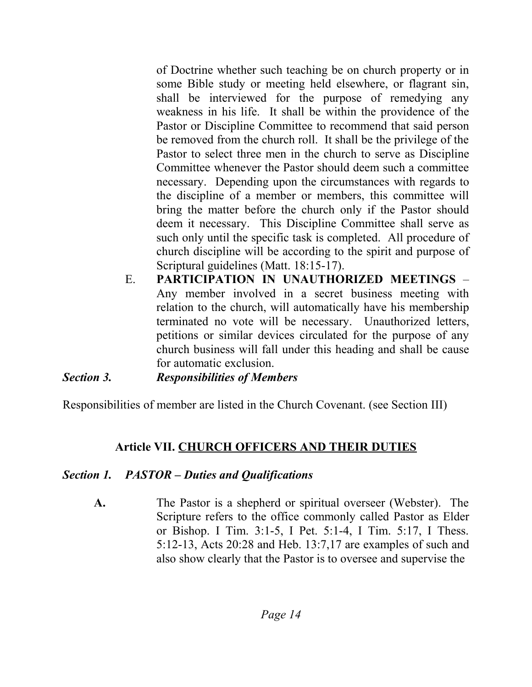of Doctrine whether such teaching be on church property or in some Bible study or meeting held elsewhere, or flagrant sin, shall be interviewed for the purpose of remedying any weakness in his life. It shall be within the providence of the Pastor or Discipline Committee to recommend that said person be removed from the church roll. It shall be the privilege of the Pastor to select three men in the church to serve as Discipline Committee whenever the Pastor should deem such a committee necessary. Depending upon the circumstances with regards to the discipline of a member or members, this committee will bring the matter before the church only if the Pastor should deem it necessary. This Discipline Committee shall serve as such only until the specific task is completed. All procedure of church discipline will be according to the spirit and purpose of Scriptural guidelines (Matt. 18:15-17).

E. **PARTICIPATION IN UNAUTHORIZED MEETINGS** – Any member involved in a secret business meeting with relation to the church, will automatically have his membership terminated no vote will be necessary. Unauthorized letters, petitions or similar devices circulated for the purpose of any church business will fall under this heading and shall be cause for automatic exclusion.

*Section 3. Responsibilities of Members* 

Responsibilities of member are listed in the Church Covenant. (see Section III)

## **Article VII. CHURCH OFFICERS AND THEIR DUTIES**

## *Section 1. PASTOR – Duties and Qualifications*

**A.** The Pastor is a shepherd or spiritual overseer (Webster). The Scripture refers to the office commonly called Pastor as Elder or Bishop. I Tim. 3:1-5, I Pet. 5:1-4, I Tim. 5:17, I Thess. 5:12-13, Acts 20:28 and Heb. 13:7,17 are examples of such and also show clearly that the Pastor is to oversee and supervise the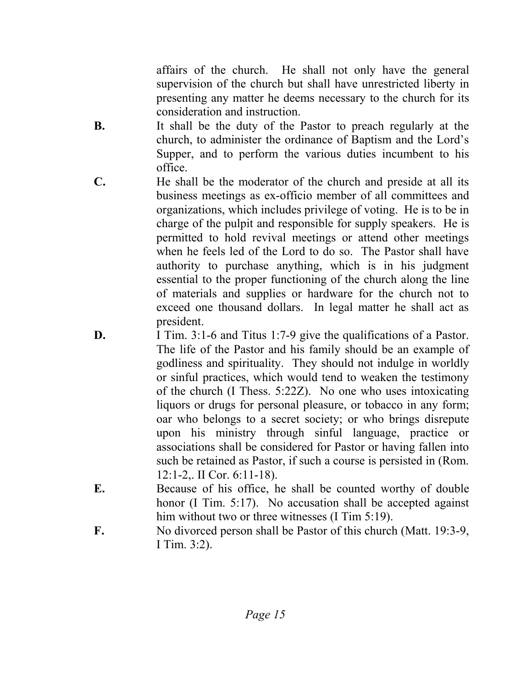affairs of the church. He shall not only have the general supervision of the church but shall have unrestricted liberty in presenting any matter he deems necessary to the church for its consideration and instruction.

- **B.** It shall be the duty of the Pastor to preach regularly at the church, to administer the ordinance of Baptism and the Lord's Supper, and to perform the various duties incumbent to his office.
- **C.** He shall be the moderator of the church and preside at all its business meetings as ex-officio member of all committees and organizations, which includes privilege of voting. He is to be in charge of the pulpit and responsible for supply speakers. He is permitted to hold revival meetings or attend other meetings when he feels led of the Lord to do so. The Pastor shall have authority to purchase anything, which is in his judgment essential to the proper functioning of the church along the line of materials and supplies or hardware for the church not to exceed one thousand dollars. In legal matter he shall act as president.
- **D.** I Tim. 3:1-6 and Titus 1:7-9 give the qualifications of a Pastor. The life of the Pastor and his family should be an example of godliness and spirituality. They should not indulge in worldly or sinful practices, which would tend to weaken the testimony of the church (I Thess. 5:22Z). No one who uses intoxicating liquors or drugs for personal pleasure, or tobacco in any form; oar who belongs to a secret society; or who brings disrepute upon his ministry through sinful language, practice or associations shall be considered for Pastor or having fallen into such be retained as Pastor, if such a course is persisted in (Rom. 12:1-2,. II Cor. 6:11-18).
- **E.** Because of his office, he shall be counted worthy of double honor (I Tim. 5:17). No accusation shall be accepted against him without two or three witnesses (I Tim 5:19).
- **F.** No divorced person shall be Pastor of this church (Matt. 19:3-9, I Tim. 3:2).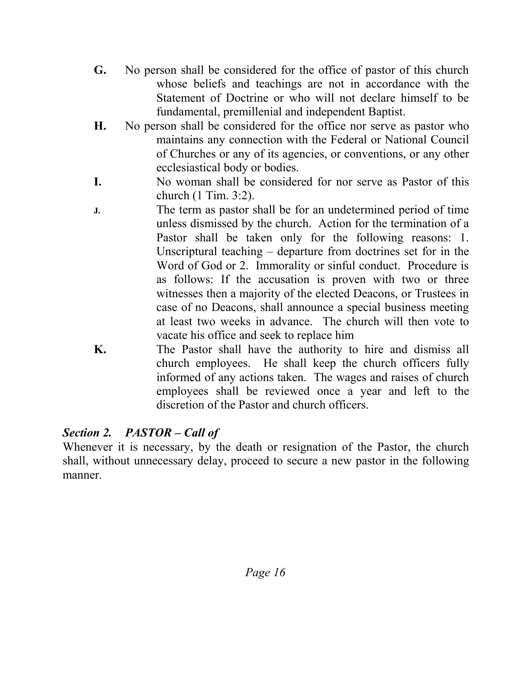- **G.** No person shall be considered for the office of pastor of this church whose beliefs and teachings are not in accordance with the Statement of Doctrine or who will not declare himself to be fundamental, premillenial and independent Baptist.
- **H.** No person shall be considered for the office nor serve as pastor who maintains any connection with the Federal or National Council of Churches or any of its agencies, or conventions, or any other ecclesiastical body or bodies.
- **I.** No woman shall be considered for nor serve as Pastor of this church (1 Tim. 3:2).
- **J.** The term as pastor shall be for an undetermined period of time unless dismissed by the church. Action for the termination of a Pastor shall be taken only for the following reasons: 1. Unscriptural teaching – departure from doctrines set for in the Word of God or 2. Immorality or sinful conduct. Procedure is as follows: If the accusation is proven with two or three witnesses then a majority of the elected Deacons, or Trustees in case of no Deacons, shall announce a special business meeting at least two weeks in advance. The church will then vote to vacate his office and seek to replace him
- **K.** The Pastor shall have the authority to hire and dismiss all church employees. He shall keep the church officers fully informed of any actions taken. The wages and raises of church employees shall be reviewed once a year and left to the discretion of the Pastor and church officers.

## *Section 2. PASTOR – Call of*

Whenever it is necessary, by the death or resignation of the Pastor, the church shall, without unnecessary delay, proceed to secure a new pastor in the following manner.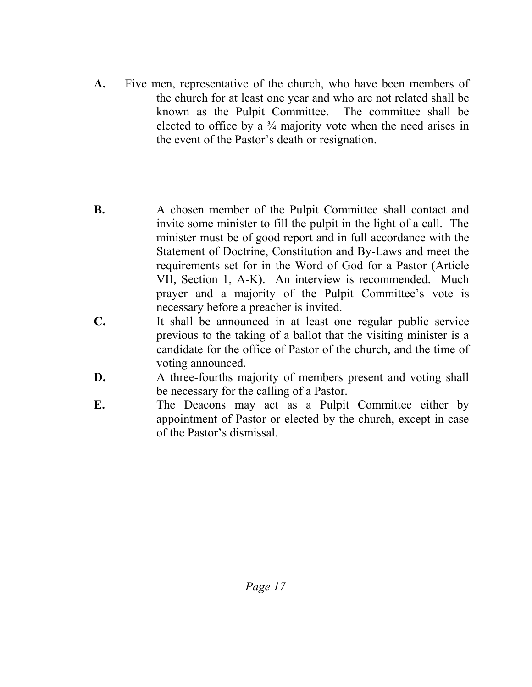- **A.** Five men, representative of the church, who have been members of the church for at least one year and who are not related shall be known as the Pulpit Committee. The committee shall be elected to office by a  $\frac{3}{4}$  majority vote when the need arises in the event of the Pastor's death or resignation.
- **B.** A chosen member of the Pulpit Committee shall contact and invite some minister to fill the pulpit in the light of a call. The minister must be of good report and in full accordance with the Statement of Doctrine, Constitution and By-Laws and meet the requirements set for in the Word of God for a Pastor (Article VII, Section 1, A-K). An interview is recommended. Much prayer and a majority of the Pulpit Committee's vote is necessary before a preacher is invited.
- **C.** It shall be announced in at least one regular public service previous to the taking of a ballot that the visiting minister is a candidate for the office of Pastor of the church, and the time of voting announced.
- **D.** A three-fourths majority of members present and voting shall be necessary for the calling of a Pastor.
- E. The Deacons may act as a Pulpit Committee either by appointment of Pastor or elected by the church, except in case of the Pastor's dismissal.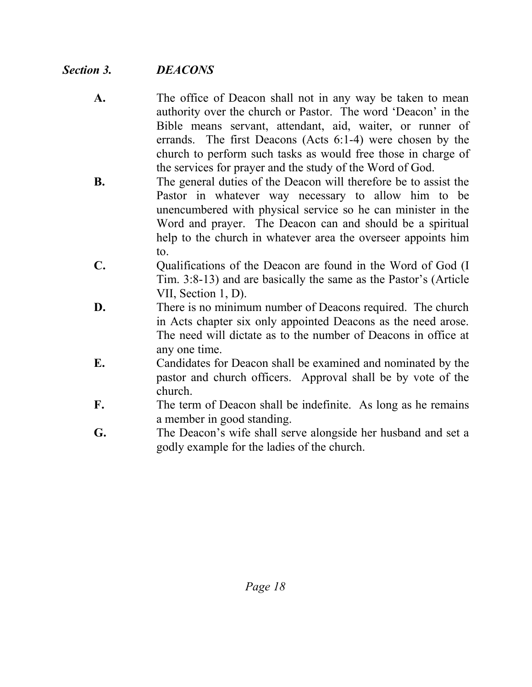## *Section 3. DEACONS*

- **A.** The office of Deacon shall not in any way be taken to mean authority over the church or Pastor. The word 'Deacon' in the Bible means servant, attendant, aid, waiter, or runner of errands. The first Deacons (Acts 6:1-4) were chosen by the church to perform such tasks as would free those in charge of the services for prayer and the study of the Word of God.
- **B.** The general duties of the Deacon will therefore be to assist the Pastor in whatever way necessary to allow him to be unencumbered with physical service so he can minister in the Word and prayer. The Deacon can and should be a spiritual help to the church in whatever area the overseer appoints him to.
- **C.** Cualifications of the Deacon are found in the Word of God (I Tim. 3:8-13) and are basically the same as the Pastor's (Article VII, Section 1, D).
- **D.** There is no minimum number of Deacons required. The church in Acts chapter six only appointed Deacons as the need arose. The need will dictate as to the number of Deacons in office at any one time.
- **E.** Candidates for Deacon shall be examined and nominated by the pastor and church officers. Approval shall be by vote of the church.
- **F.** The term of Deacon shall be indefinite. As long as he remains a member in good standing.
- **G.** The Deacon's wife shall serve alongside her husband and set a godly example for the ladies of the church.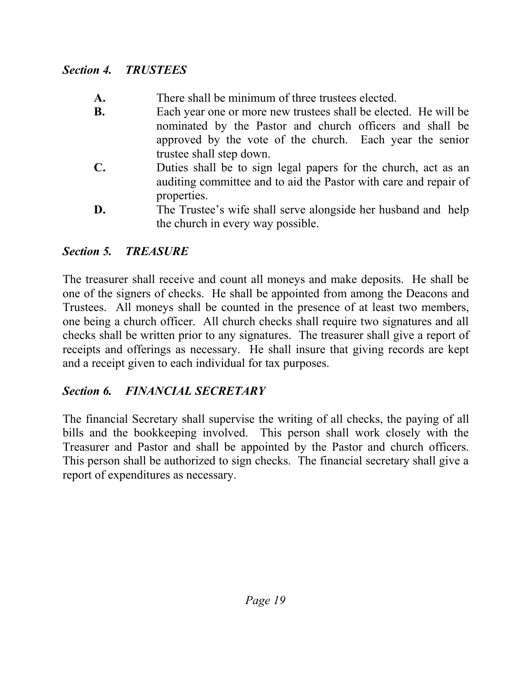#### *Section 4. TRUSTEES*

- **A.** There shall be minimum of three trustees elected.
- **B.** Each year one or more new trustees shall be elected. He will be nominated by the Pastor and church officers and shall be approved by the vote of the church. Each year the senior trustee shall step down.
- **C.** Duties shall be to sign legal papers for the church, act as an auditing committee and to aid the Pastor with care and repair of properties.
- **D.** The Trustee's wife shall serve alongside her husband and help the church in every way possible.

## *Section 5. TREASURE*

The treasurer shall receive and count all moneys and make deposits. He shall be one of the signers of checks. He shall be appointed from among the Deacons and Trustees. All moneys shall be counted in the presence of at least two members, one being a church officer. All church checks shall require two signatures and all checks shall be written prior to any signatures. The treasurer shall give a report of receipts and offerings as necessary. He shall insure that giving records are kept and a receipt given to each individual for tax purposes.

## *Section 6. FINANCIAL SECRETARY*

The financial Secretary shall supervise the writing of all checks, the paying of all bills and the bookkeeping involved. This person shall work closely with the Treasurer and Pastor and shall be appointed by the Pastor and church officers. This person shall be authorized to sign checks. The financial secretary shall give a report of expenditures as necessary.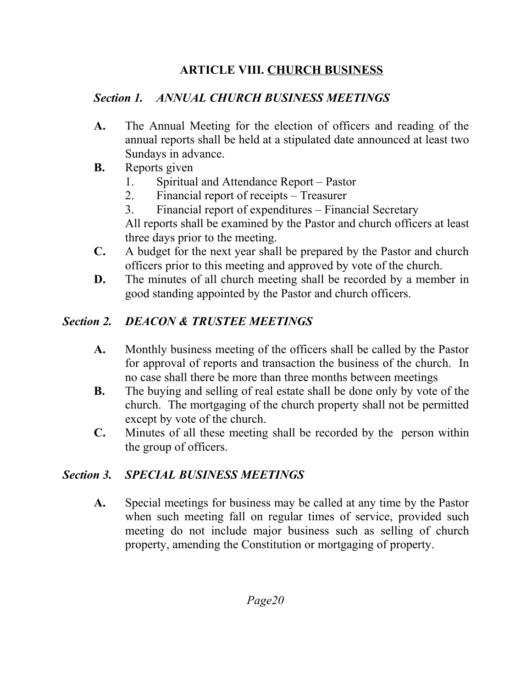## **ARTICLE VIII. CHURCH BUSINESS**

# *Section 1. ANNUAL CHURCH BUSINESS MEETINGS*

- **A.** The Annual Meeting for the election of officers and reading of the annual reports shall be held at a stipulated date announced at least two Sundays in advance.
- **B.** Reports given
	- 1. Spiritual and Attendance Report Pastor
	- 2. Financial report of receipts Treasurer
	- 3. Financial report of expenditures Financial Secretary All reports shall be examined by the Pastor and church officers at least three days prior to the meeting.
- **C.** A budget for the next year shall be prepared by the Pastor and church officers prior to this meeting and approved by vote of the church.
- **D.** The minutes of all church meeting shall be recorded by a member in good standing appointed by the Pastor and church officers.

# *Section 2. DEACON & TRUSTEE MEETINGS*

- **A.** Monthly business meeting of the officers shall be called by the Pastor for approval of reports and transaction the business of the church. In no case shall there be more than three months between meetings
- **B.** The buying and selling of real estate shall be done only by vote of the church. The mortgaging of the church property shall not be permitted except by vote of the church.
- **C.** Minutes of all these meeting shall be recorded by the person within the group of officers.

# *Section 3. SPECIAL BUSINESS MEETINGS*

**A.** Special meetings for business may be called at any time by the Pastor when such meeting fall on regular times of service, provided such meeting do not include major business such as selling of church property, amending the Constitution or mortgaging of property.